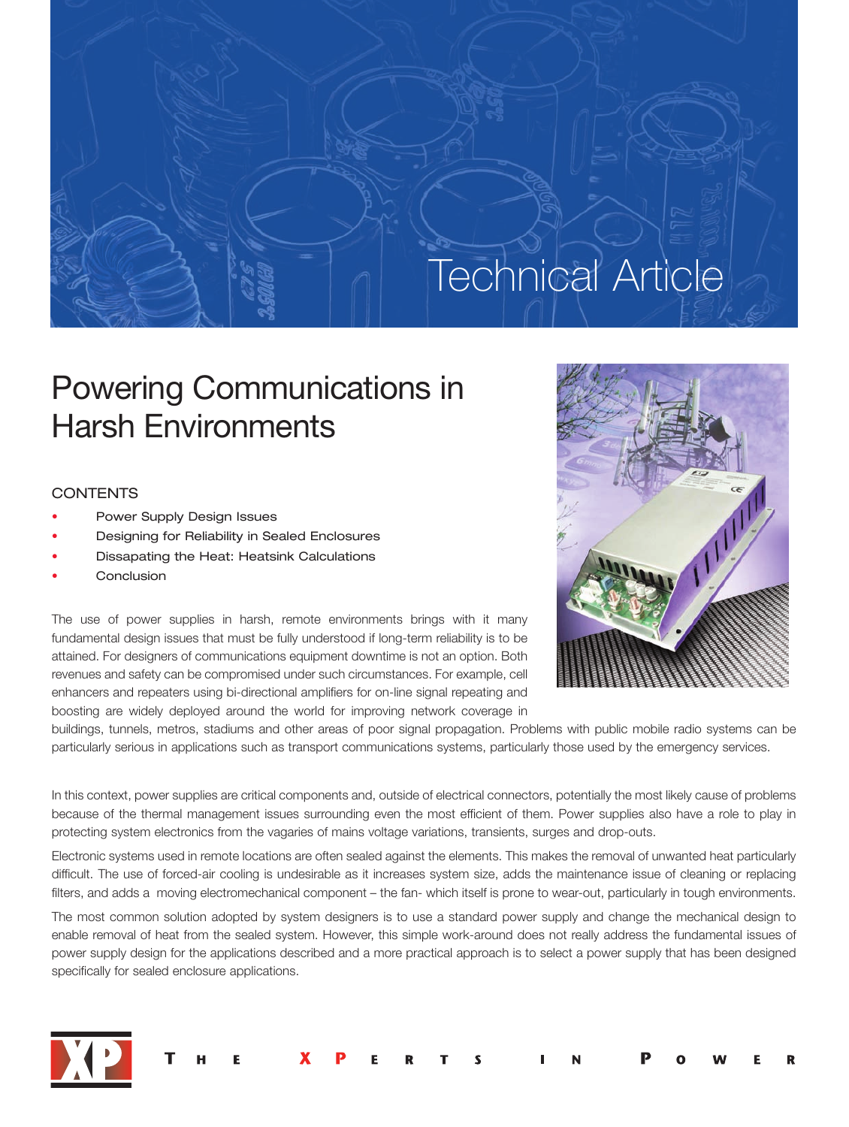# **Technical Article**

## Powering Communications in Harsh Environments

## **CONTENTS**

- Power Supply Design Issues
- Designing for Reliability in Sealed Enclosures
- Dissapating the Heat: Heatsink Calculations
- **Conclusion**

The use of power supplies in harsh, remote environments brings with it many fundamental design issues that must be fully understood if long-term reliability is to be attained. For designers of communications equipment downtime is not an option. Both revenues and safety can be compromised under such circumstances. For example, cell enhancers and repeaters using bi-directional amplifiers for on-line signal repeating and boosting are widely deployed around the world for improving network coverage in



buildings, tunnels, metros, stadiums and other areas of poor signal propagation. Problems with public mobile radio systems can be particularly serious in applications such as transport communications systems, particularly those used by the emergency services.

In this context, power supplies are critical components and, outside of electrical connectors, potentially the most likely cause of problems because of the thermal management issues surrounding even the most efficient of them. Power supplies also have a role to play in protecting system electronics from the vagaries of mains voltage variations, transients, surges and drop-outs.

Electronic systems used in remote locations are often sealed against the elements. This makes the removal of unwanted heat particularly difficult. The use of forced-air cooling is undesirable as it increases system size, adds the maintenance issue of cleaning or replacing filters, and adds a moving electromechanical component – the fan- which itself is prone to wear-out, particularly in tough environments.

The most common solution adopted by system designers is to use a standard power supply and change the mechanical design to enable removal of heat from the sealed system. However, this simple work-around does not really address the fundamental issues of power supply design for the applications described and a more practical approach is to select a power supply that has been designed specifically for sealed enclosure applications.



| THE XPERTS IN POWER |  |  |  |  |  |  |  |  |  |
|---------------------|--|--|--|--|--|--|--|--|--|
|---------------------|--|--|--|--|--|--|--|--|--|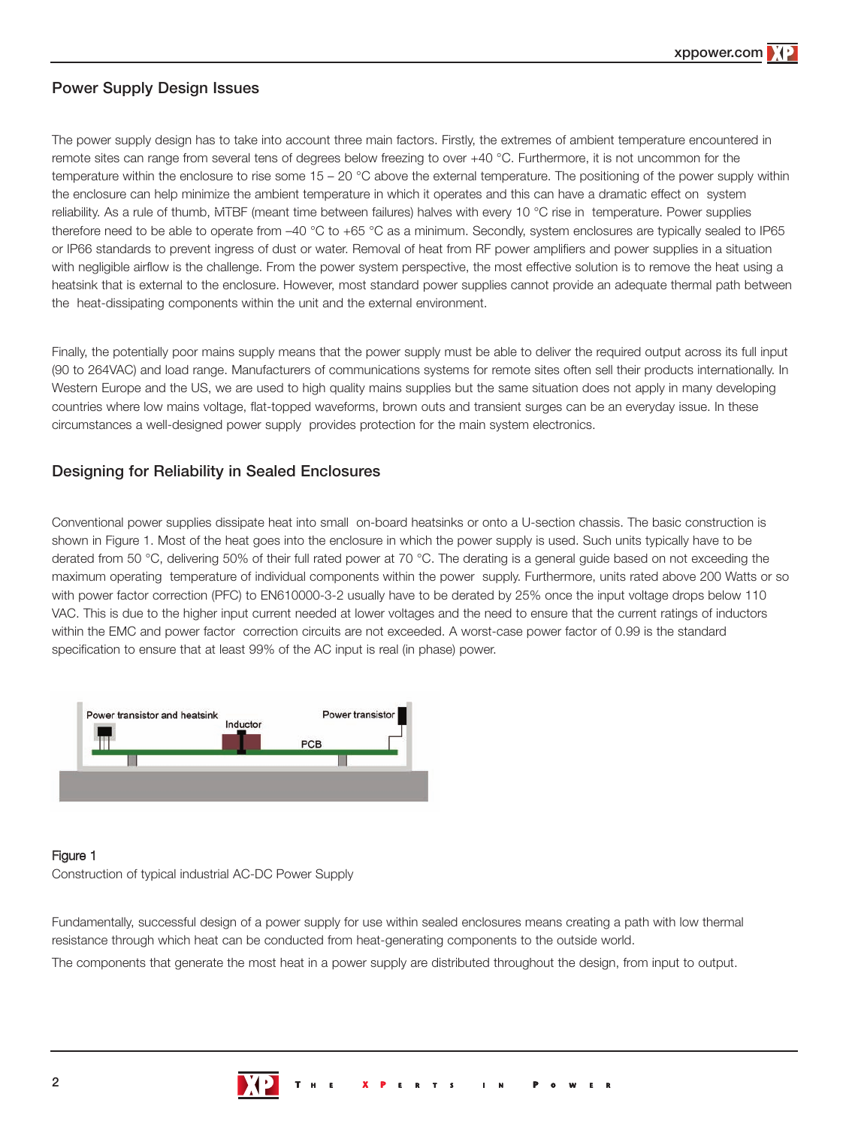## **Power Supply Design Issues**

The power supply design has to take into account three main factors. Firstly, the extremes of ambient temperature encountered in remote sites can range from several tens of degrees below freezing to over +40 °C. Furthermore, it is not uncommon for the temperature within the enclosure to rise some 15 – 20 °C above the external temperature. The positioning of the power supply within the enclosure can help minimize the ambient temperature in which it operates and this can have a dramatic effect on system reliability. As a rule of thumb, MTBF (meant time between failures) halves with every 10 °C rise in temperature. Power supplies therefore need to be able to operate from –40 °C to +65 °C as a minimum. Secondly, system enclosures are typically sealed to IP65 or IP66 standards to prevent ingress of dust or water. Removal of heat from RF power amplifiers and power supplies in a situation with negligible airflow is the challenge. From the power system perspective, the most effective solution is to remove the heat using a heatsink that is external to the enclosure. However, most standard power supplies cannot provide an adequate thermal path between the heat-dissipating components within the unit and the external environment.

Finally, the potentially poor mains supply means that the power supply must be able to deliver the required output across its full input (90 to 264VAC) and load range. Manufacturers of communications systems for remote sites often sell their products internationally. In Western Europe and the US, we are used to high quality mains supplies but the same situation does not apply in many developing countries where low mains voltage, flat-topped waveforms, brown outs and transient surges can be an everyday issue. In these circumstances a well-designed power supply provides protection for the main system electronics.

## **Designing for Reliability in Sealed Enclosures**

Conventional power supplies dissipate heat into small on-board heatsinks or onto a U-section chassis. The basic construction is shown in Figure 1. Most of the heat goes into the enclosure in which the power supply is used. Such units typically have to be derated from 50 °C, delivering 50% of their full rated power at 70 °C. The derating is a general guide based on not exceeding the maximum operating temperature of individual components within the power supply. Furthermore, units rated above 200 Watts or so with power factor correction (PFC) to EN610000-3-2 usually have to be derated by 25% once the input voltage drops below 110 VAC. This is due to the higher input current needed at lower voltages and the need to ensure that the current ratings of inductors within the EMC and power factor correction circuits are not exceeded. A worst-case power factor of 0.99 is the standard specification to ensure that at least 99% of the AC input is real (in phase) power.



## Figure 1

Construction of typical industrial AC-DC Power Supply

Fundamentally, successful design of a power supply for use within sealed enclosures means creating a path with low thermal resistance through which heat can be conducted from heat-generating components to the outside world.

The components that generate the most heat in a power supply are distributed throughout the design, from input to output.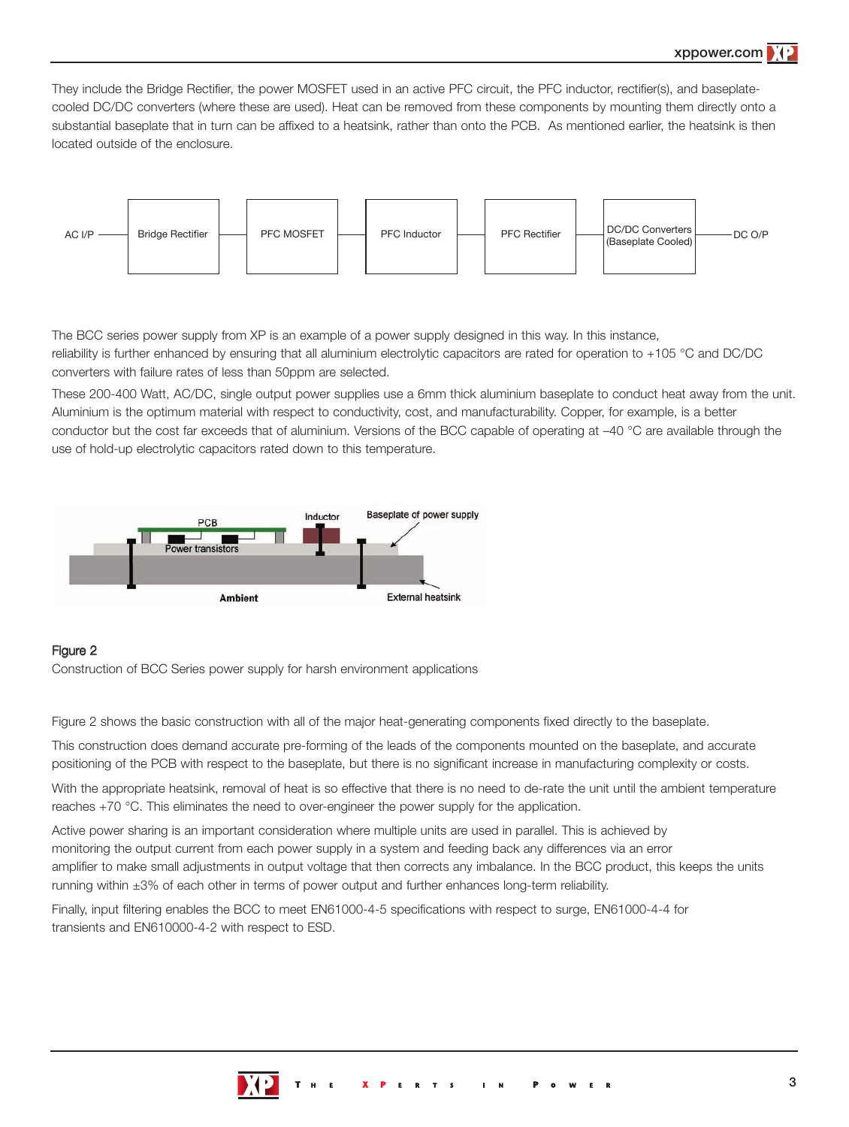They include the Bridge Rectifier, the power MOSFET used in an active PFC circuit, the PFC inductor, rectifier(s), and baseplatecooled DC/DC converters (where these are used). Heat can be removed from these components by mounting them directly onto a substantial baseplate that in turn can be affixed to a heatsink, rather than onto the PCB. As mentioned earlier, the heatsink is then located outside of the enclosure.



The BCC series power supply from XP is an example of a power supply designed in this way. In this instance, reliability is further enhanced by ensuring that all aluminium electrolytic capacitors are rated for operation to +105 °C and DC/DC converters with failure rates of less than 50ppm are selected.

These 200-400 Watt, AC/DC, single output power supplies use a 6mm thick aluminium baseplate to conduct heat away from the unit. Aluminium is the optimum material with respect to conductivity, cost, and manufacturability. Copper, for example, is a better conductor but the cost far exceeds that of aluminium. Versions of the BCC capable of operating at –40 °C are available through the use of hold-up electrolytic capacitors rated down to this temperature.



## Figure 2

Construction of BCC Series power supply for harsh environment applications

Figure 2 shows the basic construction with all of the major heat-generating components fixed directly to the baseplate.

This construction does demand accurate pre-forming of the leads of the components mounted on the baseplate, and accurate positioning of the PCB with respect to the baseplate, but there is no significant increase in manufacturing complexity or costs.

With the appropriate heatsink, removal of heat is so effective that there is no need to de-rate the unit until the ambient temperature reaches +70 °C. This eliminates the need to over-engineer the power supply for the application.

Active power sharing is an important consideration where multiple units are used in parallel. This is achieved by monitoring the output current from each power supply in a system and feeding back any differences via an error amplifier to make small adjustments in output voltage that then corrects any imbalance. In the BCC product, this keeps the units running within ±3% of each other in terms of power output and further enhances long-term reliability.

Finally, input filtering enables the BCC to meet EN61000-4-5 specifications with respect to surge, EN61000-4-4 for transients and EN610000-4-2 with respect to ESD.

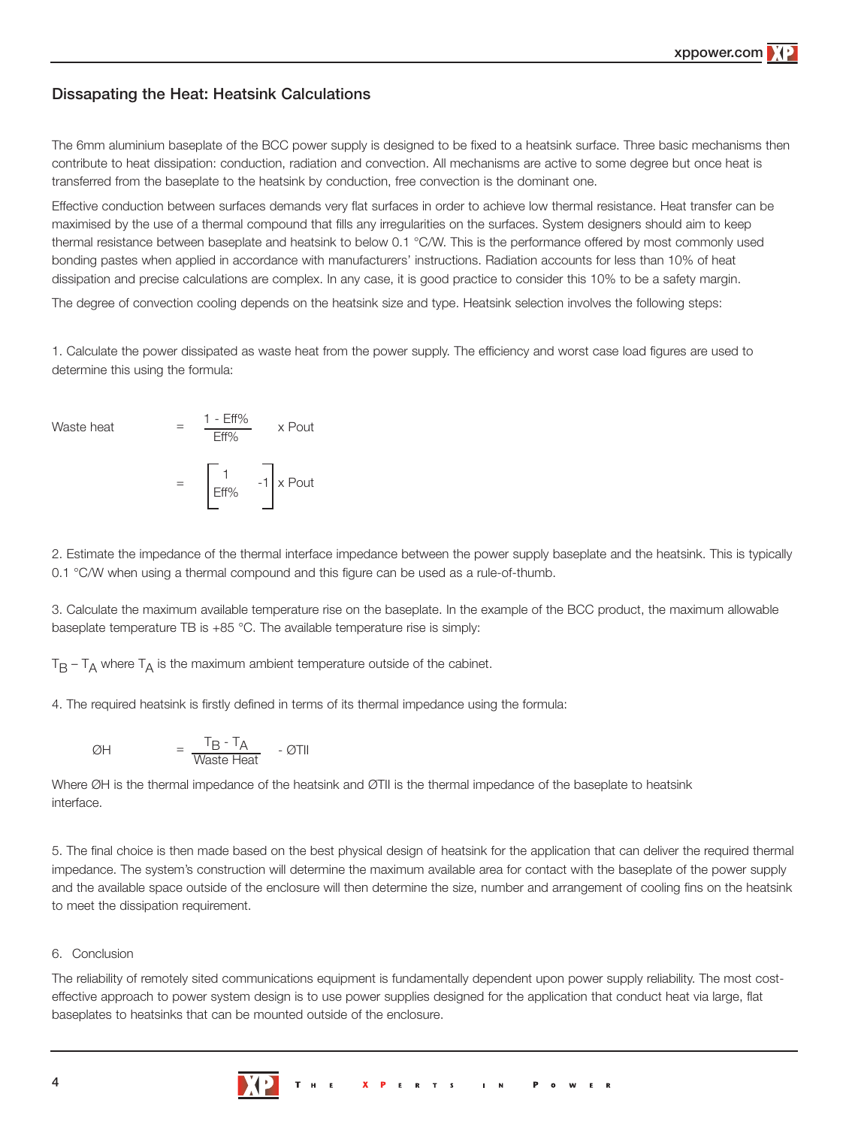## **Dissapating the Heat: Heatsink Calculations**

The 6mm aluminium baseplate of the BCC power supply is designed to be fixed to a heatsink surface. Three basic mechanisms then contribute to heat dissipation: conduction, radiation and convection. All mechanisms are active to some degree but once heat is transferred from the baseplate to the heatsink by conduction, free convection is the dominant one.

Effective conduction between surfaces demands very flat surfaces in order to achieve low thermal resistance. Heat transfer can be maximised by the use of a thermal compound that fills any irregularities on the surfaces. System designers should aim to keep thermal resistance between baseplate and heatsink to below 0.1 °C/W. This is the performance offered by most commonly used bonding pastes when applied in accordance with manufacturers' instructions. Radiation accounts for less than 10% of heat dissipation and precise calculations are complex. In any case, it is good practice to consider this 10% to be a safety margin.

The degree of convection cooling depends on the heatsink size and type. Heatsink selection involves the following steps:

1. Calculate the power dissipated as waste heat from the power supply. The efficiency and worst case load figures are used to determine this using the formula:

Waste heat  $= \frac{1 - \text{Eff}\%}{\text{Eff}\%}$  x Pout

$$
= \begin{bmatrix} 1 & 0 \\ \text{Eff\%} & -1 \end{bmatrix} \times \text{Pout}
$$

2. Estimate the impedance of the thermal interface impedance between the power supply baseplate and the heatsink. This is typically 0.1 °C/W when using a thermal compound and this figure can be used as a rule-of-thumb.

3. Calculate the maximum available temperature rise on the baseplate. In the example of the BCC product, the maximum allowable baseplate temperature TB is +85 °C. The available temperature rise is simply:

 $T_B - T_A$  where  $T_A$  is the maximum ambient temperature outside of the cabinet.

4. The required heatsink is firstly defined in terms of its thermal impedance using the formula:

$$
\emptyset H = \frac{T_B - T_A}{\text{Waste Heat}} - \emptyset TII
$$

Where ØH is the thermal impedance of the heatsink and ØTII is the thermal impedance of the baseplate to heatsink interface.

5. The final choice is then made based on the best physical design of heatsink for the application that can deliver the required thermal impedance. The system's construction will determine the maximum available area for contact with the baseplate of the power supply and the available space outside of the enclosure will then determine the size, number and arrangement of cooling fins on the heatsink to meet the dissipation requirement.

### 6. Conclusion

The reliability of remotely sited communications equipment is fundamentally dependent upon power supply reliability. The most costeffective approach to power system design is to use power supplies designed for the application that conduct heat via large, flat baseplates to heatsinks that can be mounted outside of the enclosure.